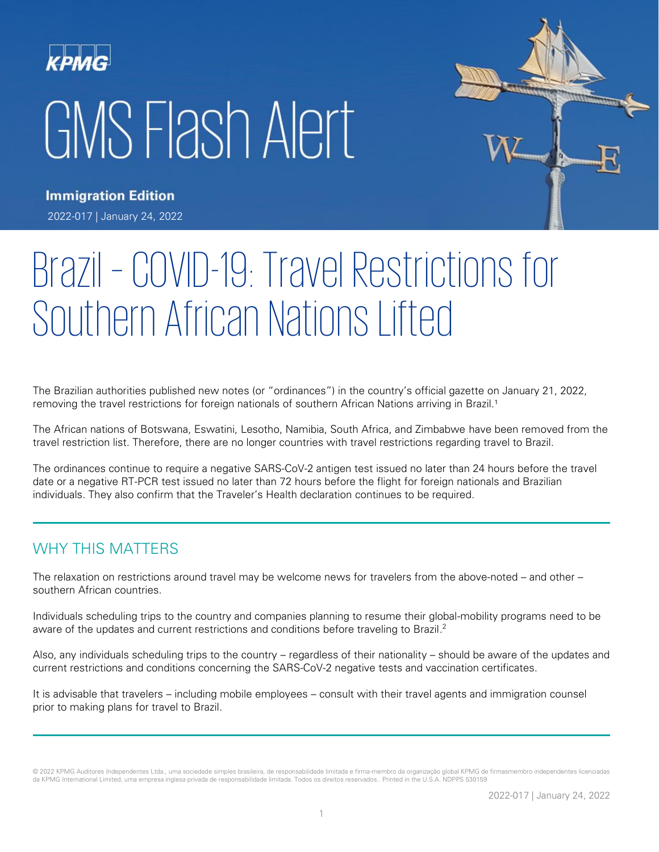# GMS Flash Alert



**Immigration Edition** 2022-017 | January 24, 2022

# Brazil – COVID-19: Travel Restrictions for Southern African Nations Lifted

The Brazilian authorities published new notes (or "ordinances") in the country's official gazette on January 21, 2022, removing the travel restrictions for foreign nationals of southern African Nations arriving in Brazil.<sup>1</sup>

The African nations of Botswana, Eswatini, Lesotho, Namibia, South Africa, and Zimbabwe have been removed from the travel restriction list. Therefore, there are no longer countries with travel restrictions regarding travel to Brazil.

The ordinances continue to require a negative SARS-CoV-2 antigen test issued no later than 24 hours before the travel date or a negative RT-PCR test issued no later than 72 hours before the flight for foreign nationals and Brazilian individuals. They also confirm that the Traveler's Health declaration continues to be required.

# WHY THIS MATTERS

The relaxation on restrictions around travel may be welcome news for travelers from the above-noted – and other – southern African countries.

Individuals scheduling trips to the country and companies planning to resume their global-mobility programs need to be aware of the updates and current restrictions and conditions before traveling to Brazil.<sup>2</sup>

Also, any individuals scheduling trips to the country – regardless of their nationality – should be aware of the updates and current restrictions and conditions concerning the SARS-CoV-2 negative tests and vaccination certificates.

It is advisable that travelers – including mobile employees – consult with their travel agents and immigration counsel prior to making plans for travel to Brazil.

<sup>© 2022</sup> KPMG Auditores Independentes Ltda., uma sociedade simples brasileira, de responsabilidade limitada e firma-membro da organização global KPMG de firmasmembro independentes licenciadas da KPMG International Limited, uma empresa inglesa privada de responsabilidade limitada. Todos os direitos reservados.. Printed in the U.S.A. NDPPS 530159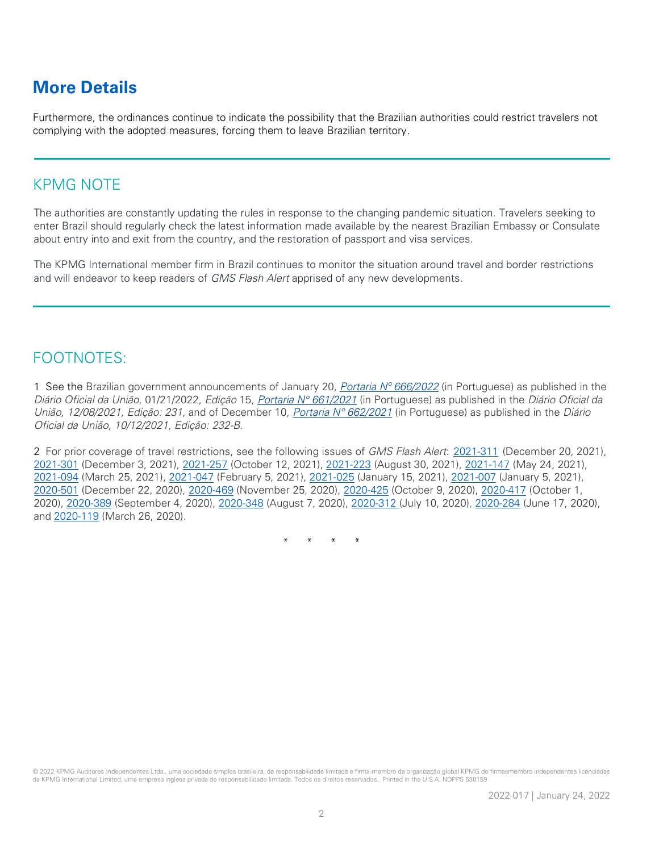# **More Details**

Furthermore, the ordinances continue to indicate the possibility that the Brazilian authorities could restrict travelers not complying with the adopted measures, forcing them to leave Brazilian territory.

### KPMG NOTE

The authorities are constantly updating the rules in response to the changing pandemic situation. Travelers seeking to enter Brazil should regularly check the latest information made available by the nearest Brazilian Embassy or Consulate about entry into and exit from the country, and the restoration of passport and visa services.

The KPMG International member firm in Brazil continues to monitor the situation around travel and border restrictions and will endeavor to keep readers of GMS Flash Alert apprised of any new developments.

## FOOTNOTES:

1 See the [Brazilian government announcements](https://www.in.gov.br/en/web/dou/-/portaria-interministerial-n-666-de-20-de-janeiro-de-2022-375486913) of January 20, Portaria  $N^{\circ}$  666/2022 (in Portuguese) as published in the Diário Oficial da União, 01/21/2022, Edição 15, Portaria N° [661/2021](https://www.in.gov.br/en/web/dou/-/portaria-interministerial-n-661-de-8-de-dezembro-de-2021-366015007) (in Portuguese) as published in the Diário Oficial da União, 12/08/2021, Edição: 231, and of [December 10,](http://www.in.gov.br/en/web/dou/-/portaria-n-255-de-22-de-maio-de-2020-258114133?inheritRedirect=true&redirect=%2Fweb%2Fguest%2Fsearch%3FqSearch%3DEntrada%2520de%2520estrangeiros) Portaria Nº [662/2021](https://www.in.gov.br/en/web/dou/-/portaria-interministerial-n-662-de-10-de-dezembro-de-2021-366337535) (in Portuguese) as published in the Diário Oficial da União, 10/12/2021, Edição: 232-B.

2 For prior coverage of travel restrictions, see the following issues of GMS Flash Alert: [2021-311](https://home.kpmg/xx/en/home/insights/2021/12/flash-alert-2021-311.html) (December 20, 2021), [2021-301](https://home.kpmg/xx/en/home/insights/2021/12/flash-alert-2021-301.html) (December 3, 2021), [2021-257](https://home.kpmg/xx/en/home/insights/2021/10/flash-alert-2021-257.html) (October 12, 2021), [2021-223](https://home.kpmg/xx/en/home/insights/2021/08/flash-alert-2021-223.html) (August 30, 2021), [2021-147](https://home.kpmg/xx/en/home/insights/2021/05/flash-alert-2021-147.html) (May 24, 2021), [2021-094](https://home.kpmg/xx/en/home/insights/2021/03/flash-alert-2021-094.html) (March 25, 2021), [2021-047](https://home.kpmg/xx/en/home/insights/2021/02/flash-alert-2021-047.html) (February 5, 2021), [2021-025](https://home.kpmg/xx/en/home/insights/2021/01/flash-alert-2021-025.html) (January 15, 2021), [2021-007](https://home.kpmg/xx/en/home/insights/2021/01/flash-alert-2021-007.html) (January 5, 2021), [2020-501](https://home.kpmg/xx/en/home/insights/2020/12/flash-alert-2020-501.html) (December 22, 2020), [2020-469](https://home.kpmg/xx/en/home/insights/2020/11/flash-alert-2020-469.html) (November 25, 2020), [2020-425](https://home.kpmg/xx/en/home/insights/2020/10/flash-alert-2020-425.html) (October 9, 2020), [2020-417](https://home.kpmg/xx/en/home/insights/2020/10/flash-alert-2020-417.html) (October 1, 2020), [2020-389](https://home.kpmg/xx/en/home/insights/2020/09/flash-alert-2020-389.html) (September 4, 2020), [2020-348](https://home.kpmg/xx/en/home/insights/2020/08/flash-alert-2020-348.html) (August 7, 2020), [2020-312](https://home.kpmg/xx/en/home/insights/2020/07/flash-alert-2020-312.html) (July 10, 2020), [2020-284](https://home.kpmg/xx/en/home/insights/2020/06/flash-alert-2020-284.html) (June 17, 2020), and [2020-119](https://home.kpmg/xx/en/home/insights/2020/03/flash-alert-2020-119.html) (March 26, 2020).

\* \* \* \*

© 2022 KPMG Auditores Independentes Ltda., uma sociedade simples brasileira, de responsabilidade limitada e firma-membro da organização global KPMG de firmasmembro independentes licenciadas da KPMG International Limited, uma empresa inglesa privada de responsabilidade limitada. Todos os direitos reservados.. Printed in the U.S.A. NDPPS 530159